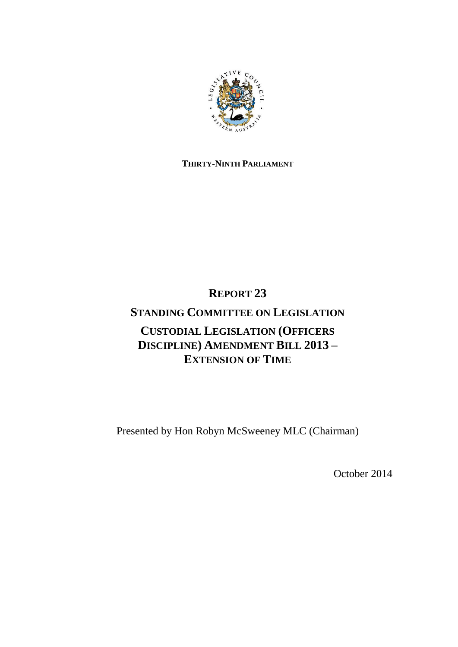

# **THIRTY-NINTH PARLIAMENT**

# **REPORT 23**

# **STANDING COMMITTEE ON LEGISLATION CUSTODIAL LEGISLATION (OFFICERS DISCIPLINE) AMENDMENT BILL 2013 – EXTENSION OF TIME**

Presented by Hon Robyn McSweeney MLC (Chairman)

October 2014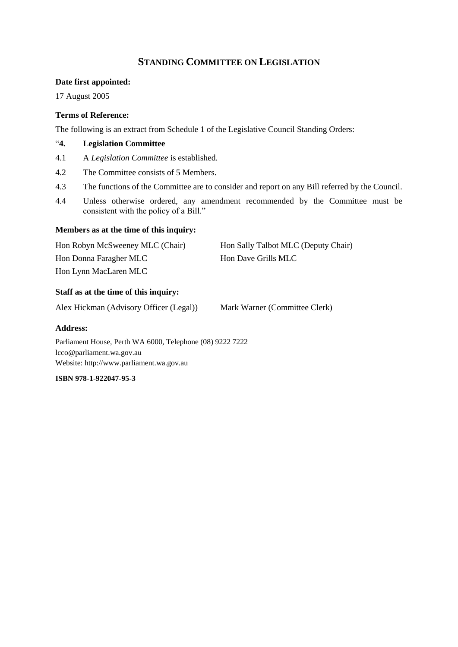# **STANDING COMMITTEE ON LEGISLATION**

## **Date first appointed:**

17 August 2005

# **Terms of Reference:**

The following is an extract from Schedule 1 of the Legislative Council Standing Orders:

# "**4. Legislation Committee**

- 4.1 A *Legislation Committee* is established.
- 4.2 The Committee consists of 5 Members.
- 4.3 The functions of the Committee are to consider and report on any Bill referred by the Council.
- 4.4 Unless otherwise ordered, any amendment recommended by the Committee must be consistent with the policy of a Bill."

## **Members as at the time of this inquiry:**

| Hon Robyn McSweeney MLC (Chair) | Hon Sally Talbot MLC (Deputy Chair) |
|---------------------------------|-------------------------------------|
| Hon Donna Faragher MLC          | <b>Hon Dave Grills MLC</b>          |
| Hon Lynn MacLaren MLC           |                                     |

# **Staff as at the time of this inquiry:**

Alex Hickman (Advisory Officer (Legal)) Mark Warner (Committee Clerk)

## **Address:**

Parliament House, Perth WA 6000, Telephone (08) 9222 7222 lcco@parliament.wa.gov.au Website: http://www.parliament.wa.gov.au

# **ISBN 978-1-922047-95-3**